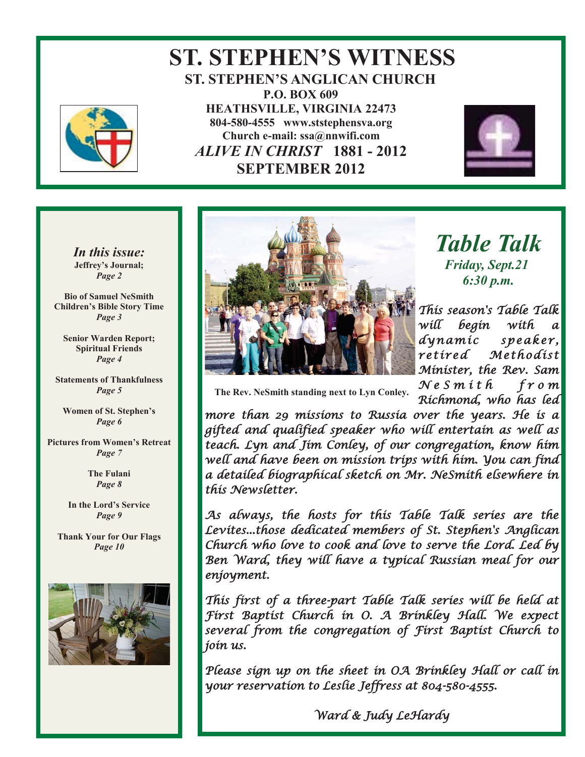

### **ST. STEPHEN'S WITNESS ST. STEPHEN'S ANGLICAN CHURCH P.O. BOX 609 HEATHSVILLE, VIRGINIA 22473 804-580-4555 www.ststephensva.org Church e-mail: ssa@nnwifi.com**   *ALIVE IN CHRIST* **1881 - 2012 SEPTEMBER 2012**



*In this issue:*  **Jeffrey's Journal;** *Page 2* 

**Bio of Samuel NeSmith Children's Bible Story Time** *Page 3* 

**Senior Warden Report; Spiritual Friends**  *Page 4* 

**Statements of Thankfulness**  *Page 5* 

**Women of St. Stephen's** *Page 6* 

**Pictures from Women's Retreat** *Page 7* 

> **The Fulani**  *Page 8*

**In the Lord's Service** *Page 9* 

**Thank Your for Our Flags**  *Page 10* 





*Table Talk Friday, Sept.21 6:30 p.m.* 

This season's Table Talk will begin with a dynamic speaker, retired Methodist Minister, the Rev. Sam  $N e S m i t h$  from

Richmond, who has led

 **The Rev. NeSmith standing next to Lyn Conley.** 

I

more than 29 missions to Russia over the years. He is a gifted and qualified speaker who will entertain as well as teach. Lyn and Jim Conley, of our congregation, know him well and have been on mission trips with him. You can find a detailed biographical sketch on Mr. NeSmith elsewhere in this Newsletter.

As always, the hosts for this Table Talk series are the Levites...those dedicated members of St. Stephen's Anglican Church who love to cook and love to serve the Lord. Led by Ben Ward, they will have a typical Russian meal for our enjoyment.

This first of a three-part Table Talk series will be held at First Baptist Church in O. A Brinkley Hall. We expect several from the congregation of First Baptist Church to join us.

Please sign up on the sheet in OA Brinkley Hall or call in your reservation to Leslie Jeffress at 804-580-4555.

Ward & Judy LeHardy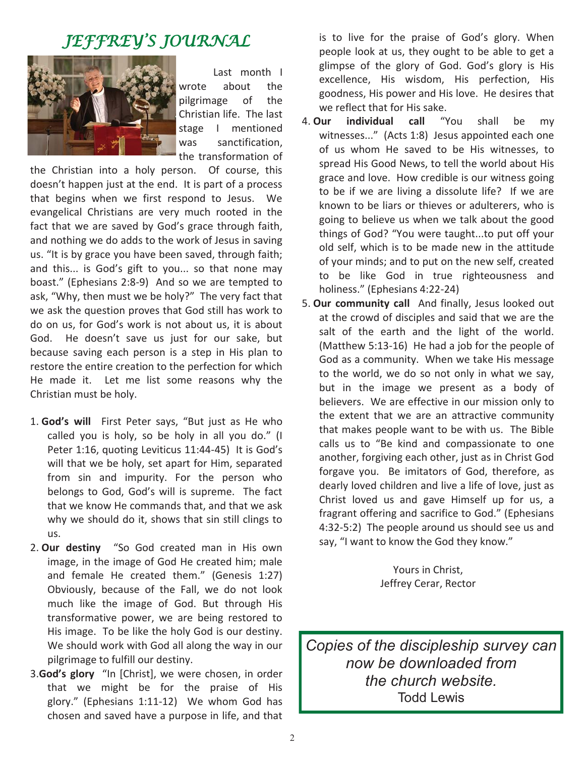# JEFFREY'S JOURNAL



 Last month I wrote about the pilgrimage of the Christian life. The last stage I mentioned was sanctification, the transformation of

the Christian into a holy person. Of course, this doesn't happen just at the end. It is part of a process that begins when we first respond to Jesus. We evangelical Christians are very much rooted in the fact that we are saved by God's grace through faith, and nothing we do adds to the work of Jesus in saving us. "It is by grace you have been saved, through faith; and this... is God's gift to you... so that none may boast." (Ephesians 2:8-9) And so we are tempted to ask, "Why, then must we be holy?" The very fact that we ask the question proves that God still has work to do on us, for God's work is not about us, it is about God. He doesn't save us just for our sake, but because saving each person is a step in His plan to restore the entire creation to the perfection for which He made it. Let me list some reasons why the Christian must be holy.

- 1. **God's will** First Peter says, "But just as He who called you is holy, so be holy in all you do." (I Peter 1:16, quoting Leviticus 11:44-45) It is God's will that we be holy, set apart for Him, separated from sin and impurity. For the person who belongs to God, God's will is supreme. The fact that we know He commands that, and that we ask why we should do it, shows that sin still clings to us.
- 2. **Our destiny** "So God created man in His own image, in the image of God He created him; male and female He created them." (Genesis 1:27) Obviously, because of the Fall, we do not look much like the image of God. But through His transformative power, we are being restored to His image. To be like the holy God is our destiny. We should work with God all along the way in our pilgrimage to fulfill our destiny.
- 3.**God's glory** "In [Christ], we were chosen, in order that we might be for the praise of His glory." (Ephesians 1:11-12) We whom God has chosen and saved have a purpose in life, and that

is to live for the praise of God's glory. When people look at us, they ought to be able to get a glimpse of the glory of God. God's glory is His excellence, His wisdom, His perfection, His goodness, His power and His love. He desires that we reflect that for His sake.

- 4. **Our individual call** "You shall be my witnesses..." (Acts 1:8) Jesus appointed each one of us whom He saved to be His witnesses, to spread His Good News, to tell the world about His grace and love. How credible is our witness going to be if we are living a dissolute life? If we are known to be liars or thieves or adulterers, who is going to believe us when we talk about the good things of God? "You were taught...to put off your old self, which is to be made new in the attitude of your minds; and to put on the new self, created to be like God in true righteousness and holiness." (Ephesians 4:22-24)
- 5. **Our community call** And finally, Jesus looked out at the crowd of disciples and said that we are the salt of the earth and the light of the world. (Matthew 5:13-16) He had a job for the people of God as a community. When we take His message to the world, we do so not only in what we say, but in the image we present as a body of believers. We are effective in our mission only to the extent that we are an attractive community that makes people want to be with us. The Bible calls us to "Be kind and compassionate to one another, forgiving each other, just as in Christ God forgave you. Be imitators of God, therefore, as dearly loved children and live a life of love, just as Christ loved us and gave Himself up for us, a fragrant offering and sacrifice to God." (Ephesians 4:32-5:2) The people around us should see us and say, "I want to know the God they know."

Yours in Christ, Jeffrey Cerar, Rector

*Copies of the discipleship survey can now be downloaded from the church website.*  Todd Lewis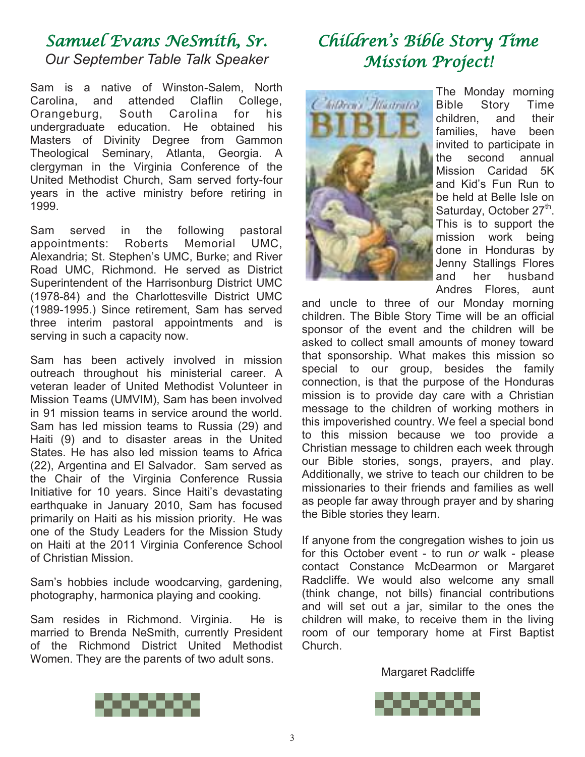# Samuel Evans NeSmith, Sr. *Our September Table Talk Speaker*

Sam is a native of Winston-Salem, North Carolina, and attended Claflin College, Orangeburg, South Carolina for his undergraduate education. He obtained his Masters of Divinity Degree from Gammon Theological Seminary, Atlanta, Georgia. A clergyman in the Virginia Conference of the United Methodist Church, Sam served forty-four years in the active ministry before retiring in 1999.

Sam served in the following pastoral appointments: Roberts Memorial UMC, Alexandria; St. Stephen's UMC, Burke; and River Road UMC, Richmond. He served as District Superintendent of the Harrisonburg District UMC (1978-84) and the Charlottesville District UMC (1989-1995.) Since retirement, Sam has served three interim pastoral appointments and is serving in such a capacity now.

Sam has been actively involved in mission outreach throughout his ministerial career. A veteran leader of United Methodist Volunteer in Mission Teams (UMVIM), Sam has been involved in 91 mission teams in service around the world. Sam has led mission teams to Russia (29) and Haiti (9) and to disaster areas in the United States. He has also led mission teams to Africa (22), Argentina and El Salvador. Sam served as the Chair of the Virginia Conference Russia Initiative for 10 years. Since Haiti's devastating earthquake in January 2010, Sam has focused primarily on Haiti as his mission priority. He was one of the Study Leaders for the Mission Study on Haiti at the 2011 Virginia Conference School of Christian Mission.

Sam's hobbies include woodcarving, gardening, photography, harmonica playing and cooking.

Sam resides in Richmond. Virginia. He is married to Brenda NeSmith, currently President of the Richmond District United Methodist Women. They are the parents of two adult sons.

# Children's Bible Story Time Mission Project!



The Monday morning Bible Story Time children, and their families, have been invited to participate in the second annual Mission Caridad 5K and Kid's Fun Run to be held at Belle Isle on Saturday, October 27<sup>th</sup>. This is to support the mission work being done in Honduras by Jenny Stallings Flores and her husband Andres Flores, aunt

and uncle to three of our Monday morning children. The Bible Story Time will be an official sponsor of the event and the children will be asked to collect small amounts of money toward that sponsorship. What makes this mission so special to our group, besides the family connection, is that the purpose of the Honduras mission is to provide day care with a Christian message to the children of working mothers in this impoverished country. We feel a special bond to this mission because we too provide a Christian message to children each week through our Bible stories, songs, prayers, and play. Additionally, we strive to teach our children to be missionaries to their friends and families as well as people far away through prayer and by sharing the Bible stories they learn.

If anyone from the congregation wishes to join us for this October event - to run *or* walk - please contact Constance McDearmon or Margaret Radcliffe. We would also welcome any small (think change, not bills) financial contributions and will set out a jar, similar to the ones the children will make, to receive them in the living room of our temporary home at First Baptist Church.

Margaret Radcliffe



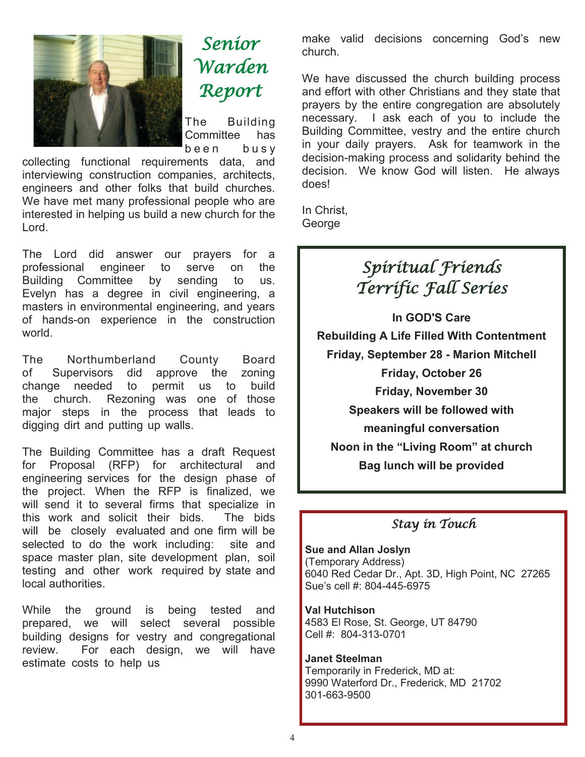

Senior Warden Report

The Building Committee has been busy

collecting functional requirements data, and interviewing construction companies, architects, engineers and other folks that build churches. We have met many professional people who are interested in helping us build a new church for the Lord.

The Lord did answer our prayers for a professional engineer to serve on the Building Committee by sending to us. Evelyn has a degree in civil engineering, a masters in environmental engineering, and years of hands-on experience in the construction world.

The Northumberland County Board of Supervisors did approve the zoning change needed to permit us to build the church. Rezoning was one of those major steps in the process that leads to digging dirt and putting up walls.

The Building Committee has a draft Request for Proposal (RFP) for architectural and engineering services for the design phase of the project. When the RFP is finalized, we will send it to several firms that specialize in this work and solicit their bids. The bids will be closely evaluated and one firm will be selected to do the work including: site and space master plan, site development plan, soil testing and other work required by state and local authorities.

While the ground is being tested and prepared, we will select several possible building designs for vestry and congregational review. For each design, we will have estimate costs to help us

make valid decisions concerning God's new church.

We have discussed the church building process and effort with other Christians and they state that prayers by the entire congregation are absolutely necessary. I ask each of you to include the Building Committee, vestry and the entire church in your daily prayers. Ask for teamwork in the decision-making process and solidarity behind the decision. We know God will listen. He always does!

In Christ, **George** 

# Spiritual Friends Terrific Fall Series

**In GOD'S Care Rebuilding A Life Filled With Contentment Friday, September 28 - Marion Mitchell Friday, October 26 Friday, November 30 Speakers will be followed with meaningful conversation Noon in the "Living Room" at church Bag lunch will be provided**

## Stay in Touch

**Sue and Allan Joslyn**  (Temporary Address) 6040 Red Cedar Dr., Apt. 3D, High Point, NC 27265 Sue's cell #: 804-445-6975

**Val Hutchison**  4583 El Rose, St. George, UT 84790 Cell #: 804-313-0701

**Janet Steelman**  Temporarily in Frederick, MD at: 9990 Waterford Dr., Frederick, MD 21702 301-663-9500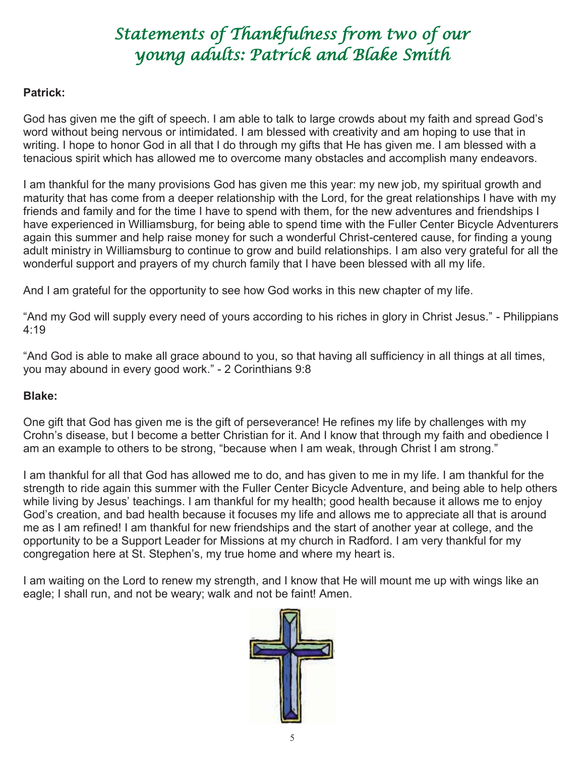# Statements of Thankfulness from two of our young adults: Patrick and Blake Smith

#### **Patrick:**

God has given me the gift of speech. I am able to talk to large crowds about my faith and spread God's word without being nervous or intimidated. I am blessed with creativity and am hoping to use that in writing. I hope to honor God in all that I do through my gifts that He has given me. I am blessed with a tenacious spirit which has allowed me to overcome many obstacles and accomplish many endeavors.

I am thankful for the many provisions God has given me this year: my new job, my spiritual growth and maturity that has come from a deeper relationship with the Lord, for the great relationships I have with my friends and family and for the time I have to spend with them, for the new adventures and friendships I have experienced in Williamsburg, for being able to spend time with the Fuller Center Bicycle Adventurers again this summer and help raise money for such a wonderful Christ-centered cause, for finding a young adult ministry in Williamsburg to continue to grow and build relationships. I am also very grateful for all the wonderful support and prayers of my church family that I have been blessed with all my life.

And I am grateful for the opportunity to see how God works in this new chapter of my life.

"And my God will supply every need of yours according to his riches in glory in Christ Jesus." - Philippians 4:19

"And God is able to make all grace abound to you, so that having all sufficiency in all things at all times, you may abound in every good work." - 2 Corinthians 9:8

#### **Blake:**

One gift that God has given me is the gift of perseverance! He refines my life by challenges with my Crohn's disease, but I become a better Christian for it. And I know that through my faith and obedience I am an example to others to be strong, "because when I am weak, through Christ I am strong."

I am thankful for all that God has allowed me to do, and has given to me in my life. I am thankful for the strength to ride again this summer with the Fuller Center Bicycle Adventure, and being able to help others while living by Jesus' teachings. I am thankful for my health; good health because it allows me to enjoy God's creation, and bad health because it focuses my life and allows me to appreciate all that is around me as I am refined! I am thankful for new friendships and the start of another year at college, and the opportunity to be a Support Leader for Missions at my church in Radford. I am very thankful for my congregation here at St. Stephen's, my true home and where my heart is.

I am waiting on the Lord to renew my strength, and I know that He will mount me up with wings like an eagle; I shall run, and not be weary; walk and not be faint! Amen.

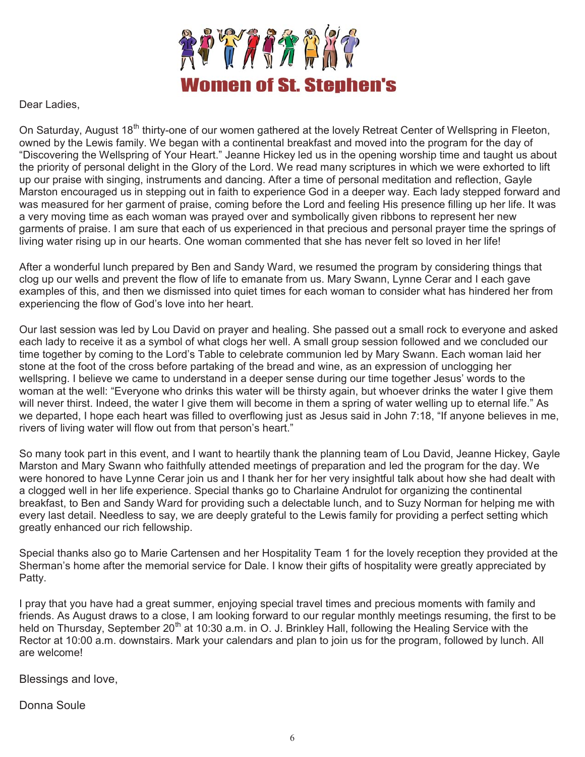

Dear Ladies,

On Saturday, August 18<sup>th</sup> thirty-one of our women gathered at the lovely Retreat Center of Wellspring in Fleeton, owned by the Lewis family. We began with a continental breakfast and moved into the program for the day of "Discovering the Wellspring of Your Heart." Jeanne Hickey led us in the opening worship time and taught us about the priority of personal delight in the Glory of the Lord. We read many scriptures in which we were exhorted to lift up our praise with singing, instruments and dancing. After a time of personal meditation and reflection, Gayle Marston encouraged us in stepping out in faith to experience God in a deeper way. Each lady stepped forward and was measured for her garment of praise, coming before the Lord and feeling His presence filling up her life. It was a very moving time as each woman was prayed over and symbolically given ribbons to represent her new garments of praise. I am sure that each of us experienced in that precious and personal prayer time the springs of living water rising up in our hearts. One woman commented that she has never felt so loved in her life!

After a wonderful lunch prepared by Ben and Sandy Ward, we resumed the program by considering things that clog up our wells and prevent the flow of life to emanate from us. Mary Swann, Lynne Cerar and I each gave examples of this, and then we dismissed into quiet times for each woman to consider what has hindered her from experiencing the flow of God's love into her heart.

Our last session was led by Lou David on prayer and healing. She passed out a small rock to everyone and asked each lady to receive it as a symbol of what clogs her well. A small group session followed and we concluded our time together by coming to the Lord's Table to celebrate communion led by Mary Swann. Each woman laid her stone at the foot of the cross before partaking of the bread and wine, as an expression of unclogging her wellspring. I believe we came to understand in a deeper sense during our time together Jesus' words to the woman at the well: "Everyone who drinks this water will be thirsty again, but whoever drinks the water I give them will never thirst. Indeed, the water I give them will become in them a spring of water welling up to eternal life." As we departed, I hope each heart was filled to overflowing just as Jesus said in John 7:18, "If anyone believes in me, rivers of living water will flow out from that person's heart."

So many took part in this event, and I want to heartily thank the planning team of Lou David, Jeanne Hickey, Gayle Marston and Mary Swann who faithfully attended meetings of preparation and led the program for the day. We were honored to have Lynne Cerar join us and I thank her for her very insightful talk about how she had dealt with a clogged well in her life experience. Special thanks go to Charlaine Andrulot for organizing the continental breakfast, to Ben and Sandy Ward for providing such a delectable lunch, and to Suzy Norman for helping me with every last detail. Needless to say, we are deeply grateful to the Lewis family for providing a perfect setting which greatly enhanced our rich fellowship.

Special thanks also go to Marie Cartensen and her Hospitality Team 1 for the lovely reception they provided at the Sherman's home after the memorial service for Dale. I know their gifts of hospitality were greatly appreciated by Patty.

I pray that you have had a great summer, enjoying special travel times and precious moments with family and friends. As August draws to a close, I am looking forward to our regular monthly meetings resuming, the first to be held on Thursday, September 20<sup>th</sup> at 10:30 a.m. in O. J. Brinkley Hall, following the Healing Service with the Rector at 10:00 a.m. downstairs. Mark your calendars and plan to join us for the program, followed by lunch. All are welcome!

Blessings and love,

Donna Soule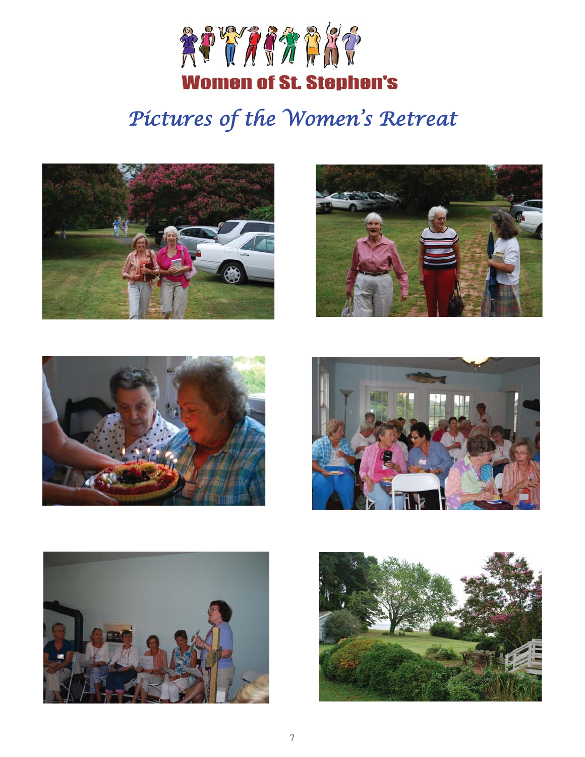

# Pictures of the Women's Retreat











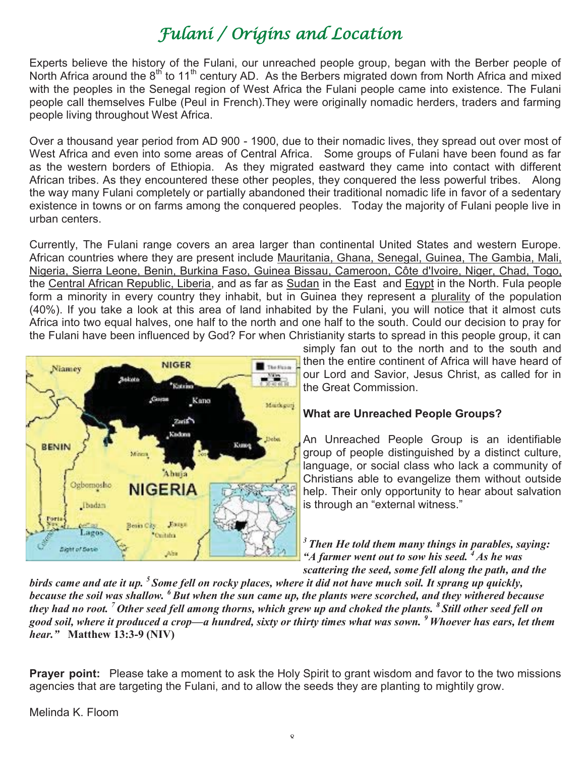# Fulani / Origins and Location

Experts believe the history of the Fulani, our unreached people group, began with the Berber people of North Africa around the 8<sup>th</sup> to 11<sup>th</sup> century AD. As the Berbers migrated down from North Africa and mixed with the peoples in the Senegal region of West Africa the Fulani people came into existence. The Fulani people call themselves Fulbe (Peul in French).They were originally nomadic herders, traders and farming people living throughout West Africa.

Over a thousand year period from AD 900 - 1900, due to their nomadic lives, they spread out over most of West Africa and even into some areas of Central Africa. Some groups of Fulani have been found as far as the western borders of Ethiopia. As they migrated eastward they came into contact with different African tribes. As they encountered these other peoples, they conquered the less powerful tribes. Along the way many Fulani completely or partially abandoned their traditional nomadic life in favor of a sedentary existence in towns or on farms among the conquered peoples. Today the majority of Fulani people live in urban centers.

Currently, The Fulani range covers an area larger than continental United States and western Europe. African countries where they are present include Mauritania, Ghana, Senegal, Guinea, The Gambia, Mali, Nigeria, Sierra Leone, Benin, Burkina Faso, Guinea Bissau, Cameroon, Côte d'Ivoire, Niger, Chad, Togo, the Central African Republic, Liberia, and as far as Sudan in the East and Egypt in the North. Fula people form a minority in every country they inhabit, but in Guinea they represent a plurality of the population (40%). If you take a look at this area of land inhabited by the Fulani, you will notice that it almost cuts Africa into two equal halves, one half to the north and one half to the south. Could our decision to pray for the Fulani have been influenced by God? For when Christianity starts to spread in this people group, it can



simply fan out to the north and to the south and then the entire continent of Africa will have heard of our Lord and Savior, Jesus Christ, as called for in the Great Commission.

#### **What are Unreached People Groups?**

An Unreached People Group is an identifiable group of people distinguished by a distinct culture, language, or social class who lack a community of Christians able to evangelize them without outside help. Their only opportunity to hear about salvation is through an "external witness."

*3 Then He told them many things in parables, saying: "A farmer went out to sow his seed. 4 As he was scattering the seed, some fell along the path, and the* 

*birds came and ate it up. 5 Some fell on rocky places, where it did not have much soil. It sprang up quickly, because the soil was shallow. 6 But when the sun came up, the plants were scorched, and they withered because they had no root. 7 Other seed fell among thorns, which grew up and choked the plants. 8 Still other seed fell on good soil, where it produced a crop—a hundred, sixty or thirty times what was sown. 9 Whoever has ears, let them hear."* **Matthew 13:3-9 (NIV)** 

**Prayer point:** Please take a moment to ask the Holy Spirit to grant wisdom and favor to the two missions agencies that are targeting the Fulani, and to allow the seeds they are planting to mightily grow.

Melinda K. Floom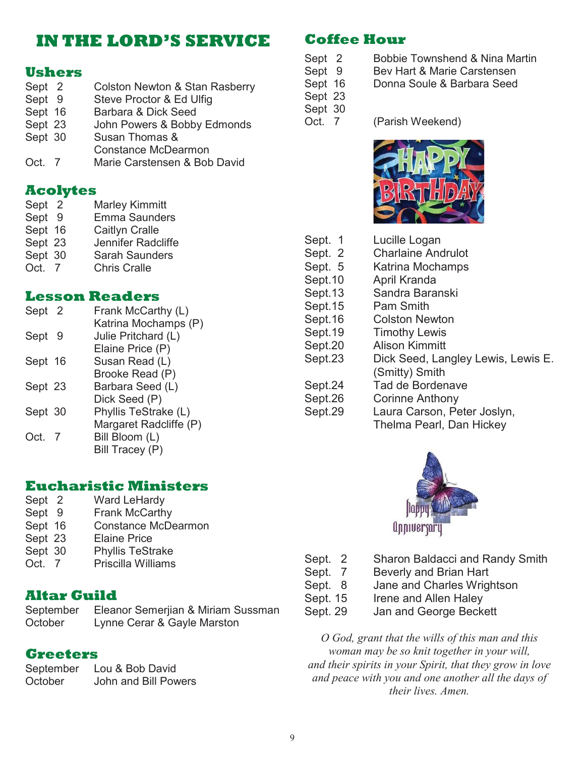# **IN THE LORD'S SERVICE**

### **Ushers**

- Sept 2 Colston Newton & Stan Rasberry Sept 9 Steve Proctor & Ed Ulfig Sept 16 Barbara & Dick Seed Sept 23 John Powers & Bobby Edmonds Sept 30 Susan Thomas & Constance McDearmon
- Oct. 7 Marie Carstensen & Bob David

### **Acolytes**

| Sept 2  | <b>Marley Kimmitt</b> |
|---------|-----------------------|
| Sept 9  | <b>Emma Saunders</b>  |
| Sept 16 | Caitlyn Cralle        |
| Sept 23 | Jennifer Radcliffe    |
| Sept 30 | <b>Sarah Saunders</b> |
| Oct. 7  | <b>Chris Cralle</b>   |

### **Lesson Readers**

| Sept 2  |     | Frank McCarthy (L)     |
|---------|-----|------------------------|
|         |     | Katrina Mochamps (P)   |
| Sept    | - 9 | Julie Pritchard (L)    |
|         |     | Elaine Price (P)       |
| Sept 16 |     | Susan Read (L)         |
|         |     | Brooke Read (P)        |
| Sept 23 |     | Barbara Seed (L)       |
|         |     | Dick Seed (P)          |
| Sept 30 |     | Phyllis TeStrake (L)   |
|         |     | Margaret Radcliffe (P) |
| Oct. 7  |     | Bill Bloom (L)         |
|         |     | Bill Tracey (P)        |
|         |     |                        |

### **Eucharistic Ministers**

- Sept 2 Ward LeHardy
- Sept 9 Frank McCarthy
- Sept 16 Constance McDearmon
- Sept 23 Elaine Price
- Sept 30 Phyllis TeStrake
- Oct. 7 Priscilla Williams

### **Altar Guild**

September Eleanor Semerjian & Miriam Sussman October Lynne Cerar & Gayle Marston

### **Greeters**

September Lou & Bob David October John and Bill Powers

## **Coffee Hour**

- Sept 2 Bobbie Townshend & Nina Martin
- Sept 9 Bev Hart & Marie Carstensen
- Sept 16 Donna Soule & Barbara Seed
- Sept 23 Sept 30

Oct. 7 (Parish Weekend)



| Sept. 1 | Lucille Logan                      |
|---------|------------------------------------|
| Sept. 2 | <b>Charlaine Andrulot</b>          |
| Sept. 5 | Katrina Mochamps                   |
| Sept.10 | April Kranda                       |
| Sept.13 | Sandra Baranski                    |
| Sept.15 | Pam Smith                          |
| Sept.16 | <b>Colston Newton</b>              |
| Sept.19 | <b>Timothy Lewis</b>               |
| Sept.20 | <b>Alison Kimmitt</b>              |
| Sept.23 | Dick Seed, Langley Lewis, Lewis E. |
|         | (Smitty) Smith                     |
| Sept.24 | Tad de Bordenave                   |
| Sept.26 | <b>Corinne Anthony</b>             |
| Sept.29 | Laura Carson, Peter Joslyn,        |
|         | Thelma Pearl, Dan Hickey           |
|         |                                    |



- Sept. 2 Sharon Baldacci and Randy Smith
- Sept. 7 Beverly and Brian Hart
- Sept. 8 Jane and Charles Wrightson
- Sept. 15 Irene and Allen Haley Sept. 29 Jan and George Beckett

*O God, grant that the wills of this man and this woman may be so knit together in your will, and their spirits in your Spirit, that they grow in love and peace with you and one another all the days of their lives. Amen.*